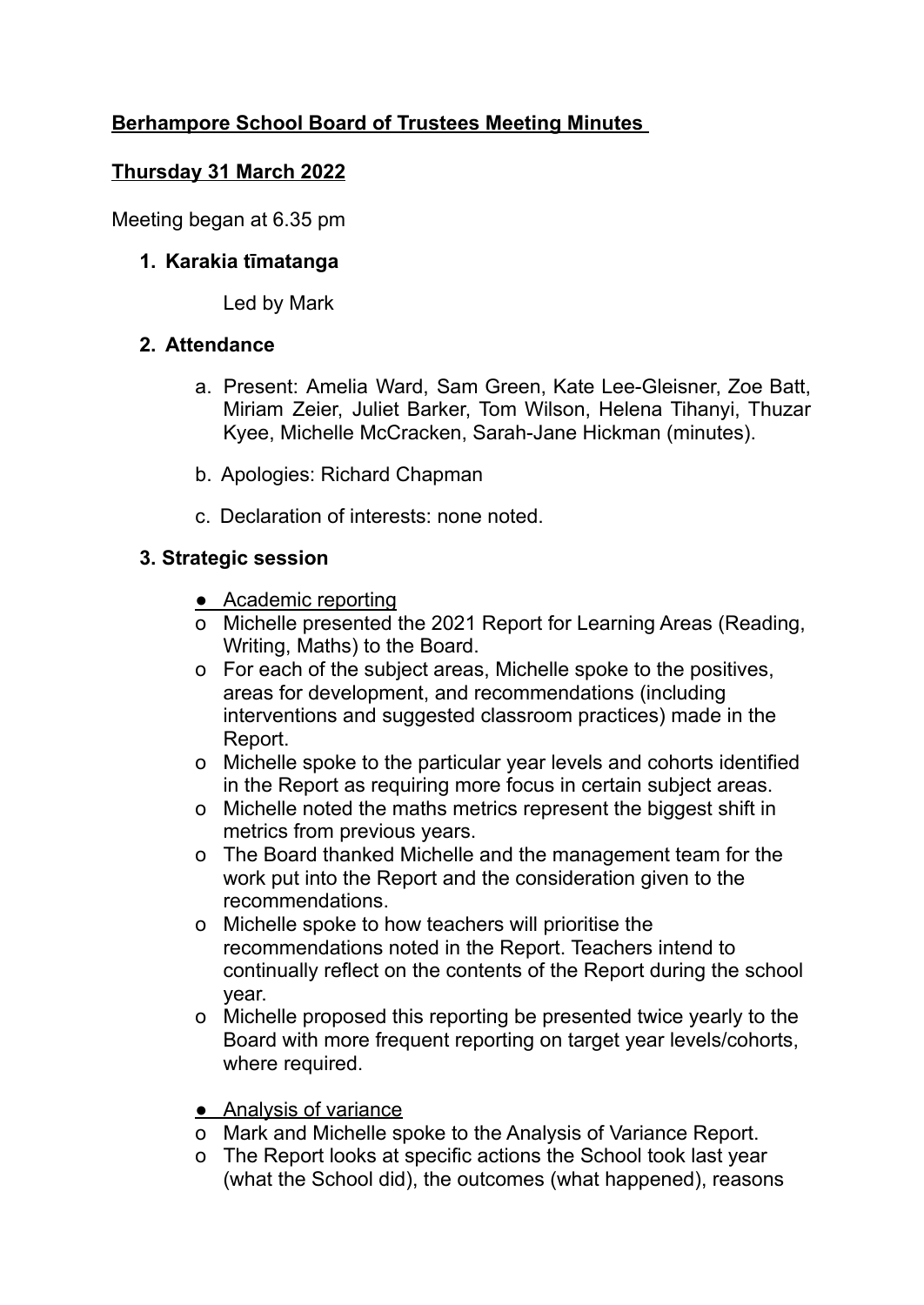# **Berhampore School Board of Trustees Meeting Minutes**

## **Thursday 31 March 2022**

Meeting began at 6.35 pm

## **1. Karakia tīmatanga**

Led by Mark

## **2. Attendance**

- a. Present: Amelia Ward, Sam Green, Kate Lee-Gleisner, Zoe Batt, Miriam Zeier, Juliet Barker, Tom Wilson, Helena Tihanyi, Thuzar Kyee, Michelle McCracken, Sarah-Jane Hickman (minutes).
- b. Apologies: Richard Chapman
- c. Declaration of interests: none noted.

# **3. Strategic session**

- Academic reporting
- o Michelle presented the 2021 Report for Learning Areas (Reading, Writing, Maths) to the Board.
- o For each of the subject areas, Michelle spoke to the positives, areas for development, and recommendations (including interventions and suggested classroom practices) made in the Report.
- o Michelle spoke to the particular year levels and cohorts identified in the Report as requiring more focus in certain subject areas.
- o Michelle noted the maths metrics represent the biggest shift in metrics from previous years.
- o The Board thanked Michelle and the management team for the work put into the Report and the consideration given to the recommendations.
- o Michelle spoke to how teachers will prioritise the recommendations noted in the Report. Teachers intend to continually reflect on the contents of the Report during the school year.
- o Michelle proposed this reporting be presented twice yearly to the Board with more frequent reporting on target year levels/cohorts, where required.
- Analysis of variance
- o Mark and Michelle spoke to the Analysis of Variance Report.
- o The Report looks at specific actions the School took last year (what the School did), the outcomes (what happened), reasons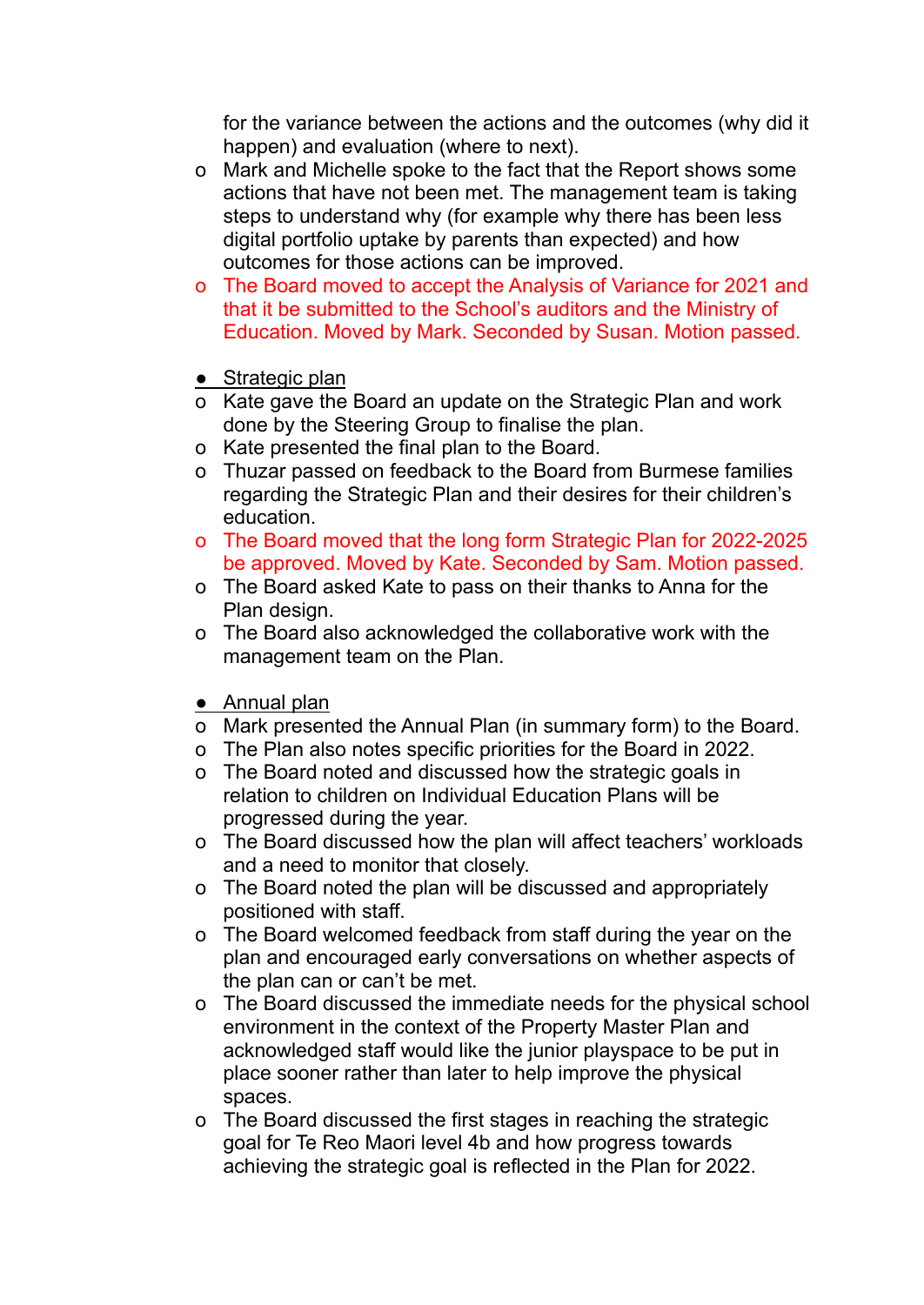for the variance between the actions and the outcomes (why did it happen) and evaluation (where to next).

- o Mark and Michelle spoke to the fact that the Report shows some actions that have not been met. The management team is taking steps to understand why (for example why there has been less digital portfolio uptake by parents than expected) and how outcomes for those actions can be improved.
- o The Board moved to accept the Analysis of Variance for 2021 and that it be submitted to the School's auditors and the Ministry of Education. Moved by Mark. Seconded by Susan. Motion passed.
- $\bullet$  Strategic plan
- o Kate gave the Board an update on the Strategic Plan and work done by the Steering Group to finalise the plan.
- o Kate presented the final plan to the Board.
- o Thuzar passed on feedback to the Board from Burmese families regarding the Strategic Plan and their desires for their children's education.
- o The Board moved that the long form Strategic Plan for 2022-2025 be approved. Moved by Kate. Seconded by Sam. Motion passed.
- o The Board asked Kate to pass on their thanks to Anna for the Plan design.
- o The Board also acknowledged the collaborative work with the management team on the Plan.
- Annual plan
- o Mark presented the Annual Plan (in summary form) to the Board.
- o The Plan also notes specific priorities for the Board in 2022.
- o The Board noted and discussed how the strategic goals in relation to children on Individual Education Plans will be progressed during the year.
- o The Board discussed how the plan will affect teachers' workloads and a need to monitor that closely.
- o The Board noted the plan will be discussed and appropriately positioned with staff.
- o The Board welcomed feedback from staff during the year on the plan and encouraged early conversations on whether aspects of the plan can or can't be met.
- o The Board discussed the immediate needs for the physical school environment in the context of the Property Master Plan and acknowledged staff would like the junior playspace to be put in place sooner rather than later to help improve the physical spaces.
- o The Board discussed the first stages in reaching the strategic goal for Te Reo Maori level 4b and how progress towards achieving the strategic goal is reflected in the Plan for 2022.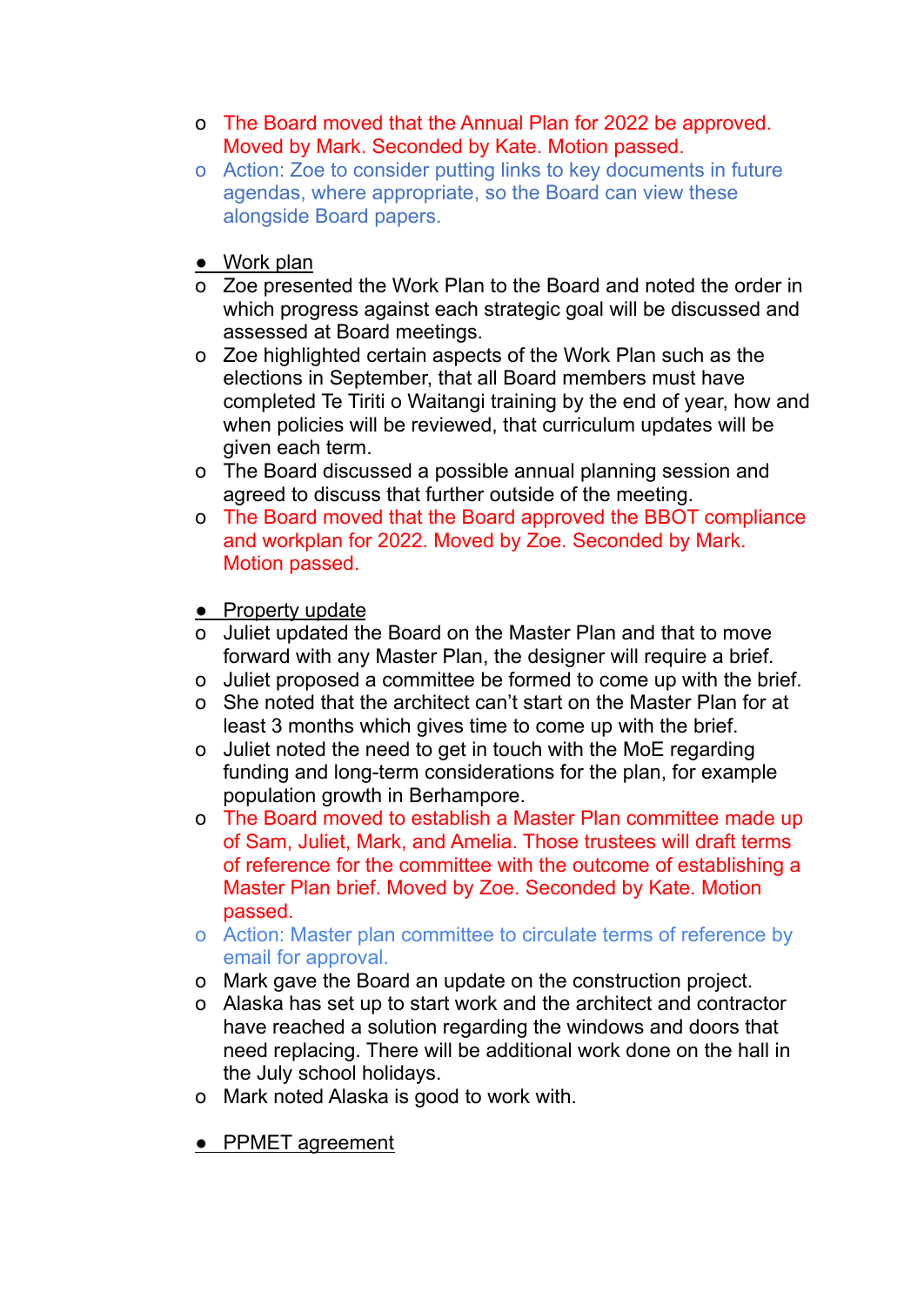- o The Board moved that the Annual Plan for 2022 be approved. Moved by Mark. Seconded by Kate. Motion passed.
- o Action: Zoe to consider putting links to key documents in future agendas, where appropriate, so the Board can view these alongside Board papers.
- Work plan
- o Zoe presented the Work Plan to the Board and noted the order in which progress against each strategic goal will be discussed and assessed at Board meetings.
- o Zoe highlighted certain aspects of the Work Plan such as the elections in September, that all Board members must have completed Te Tiriti o Waitangi training by the end of year, how and when policies will be reviewed, that curriculum updates will be given each term.
- o The Board discussed a possible annual planning session and agreed to discuss that further outside of the meeting.
- o The Board moved that the Board approved the BBOT compliance and workplan for 2022. Moved by Zoe. Seconded by Mark. Motion passed.
- Property update
- o Juliet updated the Board on the Master Plan and that to move forward with any Master Plan, the designer will require a brief.
- o Juliet proposed a committee be formed to come up with the brief.
- o She noted that the architect can't start on the Master Plan for at least 3 months which gives time to come up with the brief.
- o Juliet noted the need to get in touch with the MoE regarding funding and long-term considerations for the plan, for example population growth in Berhampore.
- o The Board moved to establish a Master Plan committee made up of Sam, Juliet, Mark, and Amelia. Those trustees will draft terms of reference for the committee with the outcome of establishing a Master Plan brief. Moved by Zoe. Seconded by Kate. Motion passed.
- o Action: Master plan committee to circulate terms of reference by email for approval.
- o Mark gave the Board an update on the construction project.
- o Alaska has set up to start work and the architect and contractor have reached a solution regarding the windows and doors that need replacing. There will be additional work done on the hall in the July school holidays.
- o Mark noted Alaska is good to work with.
- PPMET agreement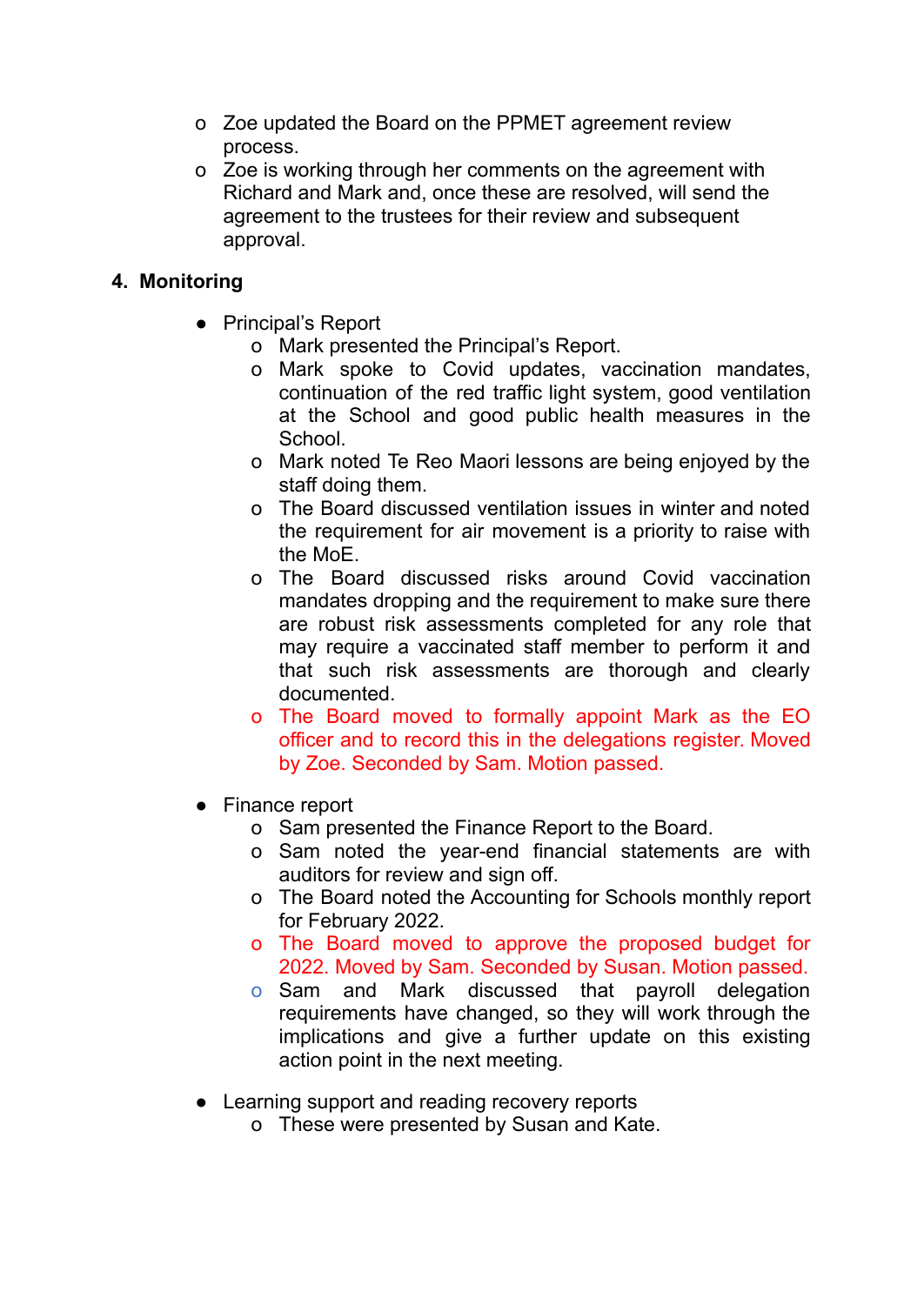- o Zoe updated the Board on the PPMET agreement review process.
- o Zoe is working through her comments on the agreement with Richard and Mark and, once these are resolved, will send the agreement to the trustees for their review and subsequent approval.

# **4. Monitoring**

- Principal's Report
	- o Mark presented the Principal's Report.
	- o Mark spoke to Covid updates, vaccination mandates, continuation of the red traffic light system, good ventilation at the School and good public health measures in the School.
	- o Mark noted Te Reo Maori lessons are being enjoyed by the staff doing them.
	- o The Board discussed ventilation issues in winter and noted the requirement for air movement is a priority to raise with the MoE.
	- o The Board discussed risks around Covid vaccination mandates dropping and the requirement to make sure there are robust risk assessments completed for any role that may require a vaccinated staff member to perform it and that such risk assessments are thorough and clearly documented.
	- o The Board moved to formally appoint Mark as the EO officer and to record this in the delegations register. Moved by Zoe. Seconded by Sam. Motion passed.
- Finance report
	- o Sam presented the Finance Report to the Board.
	- o Sam noted the year-end financial statements are with auditors for review and sign off.
	- o The Board noted the Accounting for Schools monthly report for February 2022.
	- o The Board moved to approve the proposed budget for 2022. Moved by Sam. Seconded by Susan. Motion passed.
	- o Sam and Mark discussed that payroll delegation requirements have changed, so they will work through the implications and give a further update on this existing action point in the next meeting.
- Learning support and reading recovery reports
	- o These were presented by Susan and Kate.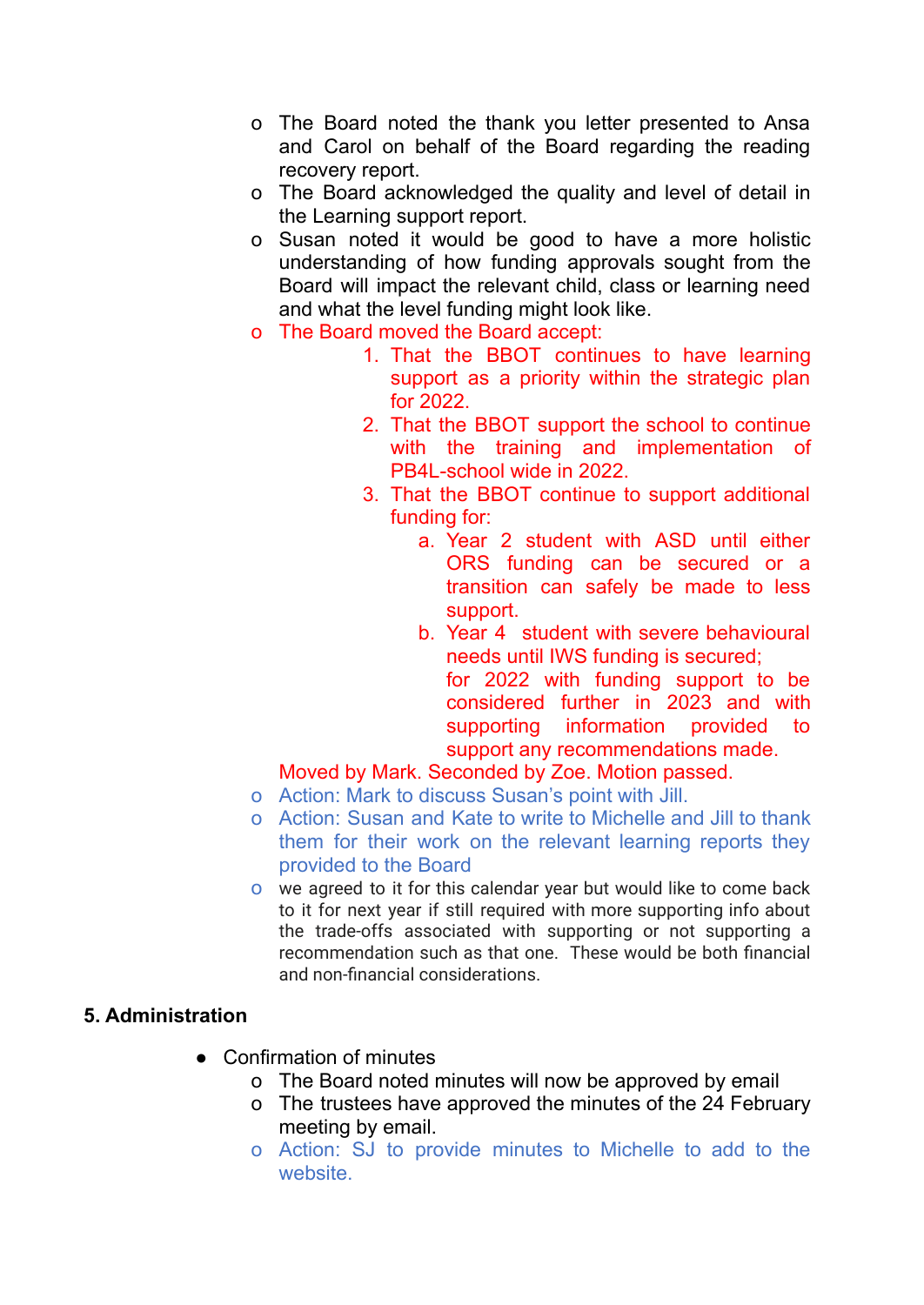- o The Board noted the thank you letter presented to Ansa and Carol on behalf of the Board regarding the reading recovery report.
- o The Board acknowledged the quality and level of detail in the Learning support report.
- o Susan noted it would be good to have a more holistic understanding of how funding approvals sought from the Board will impact the relevant child, class or learning need and what the level funding might look like.
- o The Board moved the Board accept:
	- 1. That the BBOT continues to have learning support as a priority within the strategic plan for 2022.
	- 2. That the BBOT support the school to continue with the training and implementation of PB4L-school wide in 2022.
	- 3. That the BBOT continue to support additional funding for:
		- a. Year 2 student with ASD until either ORS funding can be secured or a transition can safely be made to less support.
		- b. Year 4 student with severe behavioural needs until IWS funding is secured; for 2022 with funding support to be considered further in 2023 and with supporting information provided to support any recommendations made.

## Moved by Mark. Seconded by Zoe. Motion passed.

- o Action: Mark to discuss Susan's point with Jill.
- o Action: Susan and Kate to write to Michelle and Jill to thank them for their work on the relevant learning reports they provided to the Board
- o we agreed to it for this calendar year but would like to come back to it for next year if still required with more supporting info about the trade-offs associated with supporting or not supporting a recommendation such as that one. These would be both financial and non-financial considerations.

### **5. Administration**

- Confirmation of minutes
	- o The Board noted minutes will now be approved by email
	- o The trustees have approved the minutes of the 24 February meeting by email.
	- o Action: SJ to provide minutes to Michelle to add to the website.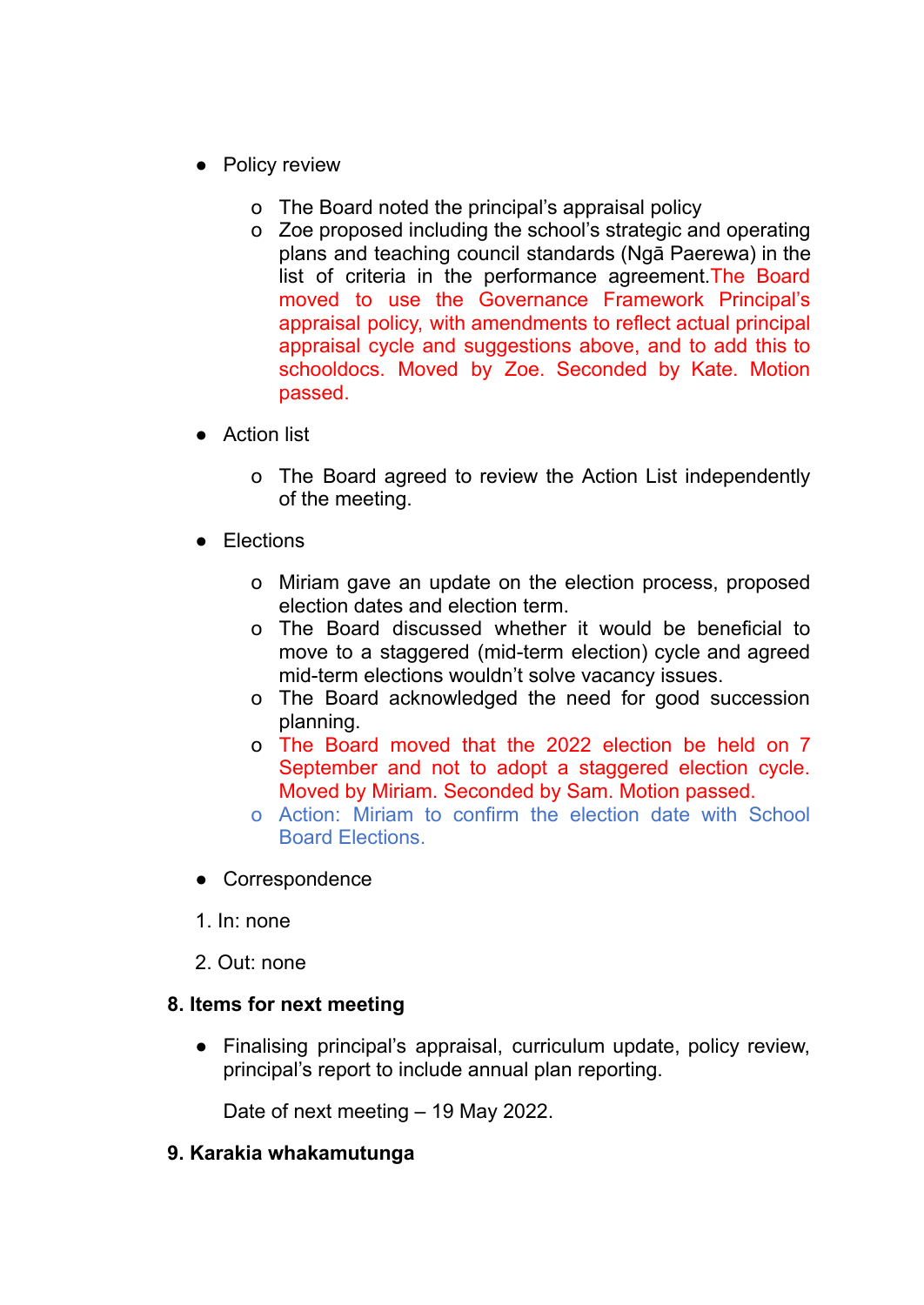- Policy review
	- o The Board noted the principal's appraisal policy
	- o Zoe proposed including the school's strategic and operating plans and teaching council standards (Ngā Paerewa) in the list of criteria in the performance agreement.The Board moved to use the Governance Framework Principal's appraisal policy, with amendments to reflect actual principal appraisal cycle and suggestions above, and to add this to schooldocs. Moved by Zoe. Seconded by Kate. Motion passed.
- Action list
	- o The Board agreed to review the Action List independently of the meeting.
- **Elections** 
	- o Miriam gave an update on the election process, proposed election dates and election term.
	- o The Board discussed whether it would be beneficial to move to a staggered (mid-term election) cycle and agreed mid-term elections wouldn't solve vacancy issues.
	- o The Board acknowledged the need for good succession planning.
	- o The Board moved that the 2022 election be held on 7 September and not to adopt a staggered election cycle. Moved by Miriam. Seconded by Sam. Motion passed.
	- o Action: Miriam to confirm the election date with School Board Elections.
- Correspondence
- 1. In: none
- 2. Out: none

### **8. Items for next meeting**

● Finalising principal's appraisal, curriculum update, policy review, principal's report to include annual plan reporting.

Date of next meeting – 19 May 2022.

### **9. Karakia whakamutunga**